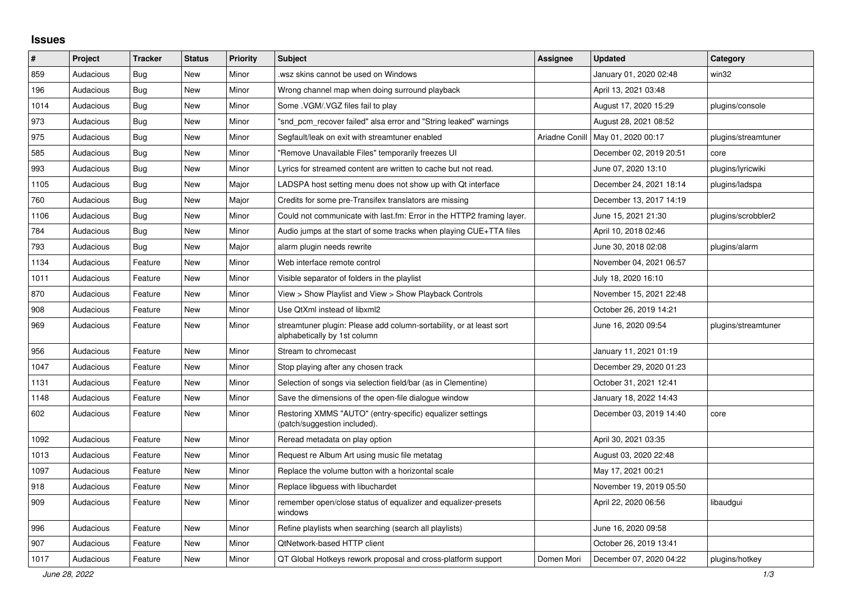## **Issues**

| ∦    | Project   | <b>Tracker</b> | <b>Status</b> | <b>Priority</b> | <b>Subject</b>                                                                                      | <b>Assignee</b> | <b>Updated</b>          | Category            |
|------|-----------|----------------|---------------|-----------------|-----------------------------------------------------------------------------------------------------|-----------------|-------------------------|---------------------|
| 859  | Audacious | Bug            | <b>New</b>    | Minor           | wsz skins cannot be used on Windows.                                                                |                 | January 01, 2020 02:48  | win32               |
| 196  | Audacious | Bug            | <b>New</b>    | Minor           | Wrong channel map when doing surround playback                                                      |                 | April 13, 2021 03:48    |                     |
| 1014 | Audacious | <b>Bug</b>     | <b>New</b>    | Minor           | Some .VGM/.VGZ files fail to play                                                                   |                 | August 17, 2020 15:29   | plugins/console     |
| 973  | Audacious | Bug            | New           | Minor           | "snd pcm recover failed" alsa error and "String leaked" warnings                                    |                 | August 28, 2021 08:52   |                     |
| 975  | Audacious | Bug            | <b>New</b>    | Minor           | Segfault/leak on exit with streamtuner enabled                                                      | Ariadne Conill  | May 01, 2020 00:17      | plugins/streamtuner |
| 585  | Audacious | Bug            | <b>New</b>    | Minor           | "Remove Unavailable Files" temporarily freezes UI                                                   |                 | December 02, 2019 20:51 | core                |
| 993  | Audacious | Bug            | <b>New</b>    | Minor           | Lyrics for streamed content are written to cache but not read.                                      |                 | June 07, 2020 13:10     | plugins/lyricwiki   |
| 1105 | Audacious | <b>Bug</b>     | <b>New</b>    | Major           | LADSPA host setting menu does not show up with Qt interface                                         |                 | December 24, 2021 18:14 | plugins/ladspa      |
| 760  | Audacious | Bug            | <b>New</b>    | Major           | Credits for some pre-Transifex translators are missing                                              |                 | December 13, 2017 14:19 |                     |
| 1106 | Audacious | <b>Bug</b>     | <b>New</b>    | Minor           | Could not communicate with last.fm: Error in the HTTP2 framing layer.                               |                 | June 15, 2021 21:30     | plugins/scrobbler2  |
| 784  | Audacious | <b>Bug</b>     | <b>New</b>    | Minor           | Audio jumps at the start of some tracks when playing CUE+TTA files                                  |                 | April 10, 2018 02:46    |                     |
| 793  | Audacious | <b>Bug</b>     | <b>New</b>    | Major           | alarm plugin needs rewrite                                                                          |                 | June 30, 2018 02:08     | plugins/alarm       |
| 1134 | Audacious | Feature        | <b>New</b>    | Minor           | Web interface remote control                                                                        |                 | November 04, 2021 06:57 |                     |
| 1011 | Audacious | Feature        | <b>New</b>    | Minor           | Visible separator of folders in the playlist                                                        |                 | July 18, 2020 16:10     |                     |
| 870  | Audacious | Feature        | <b>New</b>    | Minor           | View > Show Playlist and View > Show Playback Controls                                              |                 | November 15, 2021 22:48 |                     |
| 908  | Audacious | Feature        | <b>New</b>    | Minor           | Use QtXml instead of libxml2                                                                        |                 | October 26, 2019 14:21  |                     |
| 969  | Audacious | Feature        | New           | Minor           | streamtuner plugin: Please add column-sortability, or at least sort<br>alphabetically by 1st column |                 | June 16, 2020 09:54     | plugins/streamtuner |
| 956  | Audacious | Feature        | <b>New</b>    | Minor           | Stream to chromecast                                                                                |                 | January 11, 2021 01:19  |                     |
| 1047 | Audacious | Feature        | <b>New</b>    | Minor           | Stop playing after any chosen track                                                                 |                 | December 29, 2020 01:23 |                     |
| 1131 | Audacious | Feature        | <b>New</b>    | Minor           | Selection of songs via selection field/bar (as in Clementine)                                       |                 | October 31, 2021 12:41  |                     |
| 1148 | Audacious | Feature        | <b>New</b>    | Minor           | Save the dimensions of the open-file dialogue window                                                |                 | January 18, 2022 14:43  |                     |
| 602  | Audacious | Feature        | New           | Minor           | Restoring XMMS "AUTO" (entry-specific) equalizer settings<br>(patch/suggestion included).           |                 | December 03, 2019 14:40 | core                |
| 1092 | Audacious | Feature        | New           | Minor           | Reread metadata on play option                                                                      |                 | April 30, 2021 03:35    |                     |
| 1013 | Audacious | Feature        | <b>New</b>    | Minor           | Request re Album Art using music file metatag                                                       |                 | August 03, 2020 22:48   |                     |
| 1097 | Audacious | Feature        | <b>New</b>    | Minor           | Replace the volume button with a horizontal scale                                                   |                 | May 17, 2021 00:21      |                     |
| 918  | Audacious | Feature        | New           | Minor           | Replace libguess with libuchardet                                                                   |                 | November 19, 2019 05:50 |                     |
| 909  | Audacious | Feature        | <b>New</b>    | Minor           | remember open/close status of equalizer and equalizer-presets<br>windows                            |                 | April 22, 2020 06:56    | libaudgui           |
| 996  | Audacious | Feature        | New           | Minor           | Refine playlists when searching (search all playlists)                                              |                 | June 16, 2020 09:58     |                     |
| 907  | Audacious | Feature        | <b>New</b>    | Minor           | <b>QtNetwork-based HTTP client</b>                                                                  |                 | October 26, 2019 13:41  |                     |
| 1017 | Audacious | Feature        | <b>New</b>    | Minor           | QT Global Hotkeys rework proposal and cross-platform support                                        | Domen Mori      | December 07, 2020 04:22 | plugins/hotkey      |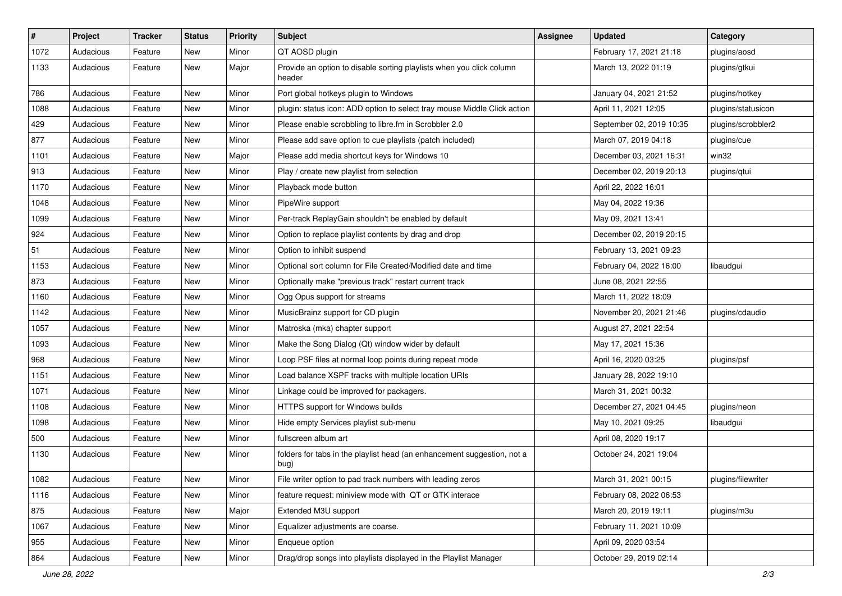| $\sharp$ | Project   | <b>Tracker</b> | <b>Status</b> | <b>Priority</b> | Subject                                                                         | <b>Assignee</b> | <b>Updated</b>           | Category           |
|----------|-----------|----------------|---------------|-----------------|---------------------------------------------------------------------------------|-----------------|--------------------------|--------------------|
| 1072     | Audacious | Feature        | New           | Minor           | QT AOSD plugin                                                                  |                 | February 17, 2021 21:18  | plugins/aosd       |
| 1133     | Audacious | Feature        | New           | Major           | Provide an option to disable sorting playlists when you click column<br>header  |                 | March 13, 2022 01:19     | plugins/gtkui      |
| 786      | Audacious | Feature        | New           | Minor           | Port global hotkeys plugin to Windows                                           |                 | January 04, 2021 21:52   | plugins/hotkey     |
| 1088     | Audacious | Feature        | New           | Minor           | plugin: status icon: ADD option to select tray mouse Middle Click action        |                 | April 11, 2021 12:05     | plugins/statusicon |
| 429      | Audacious | Feature        | New           | Minor           | Please enable scrobbling to libre.fm in Scrobbler 2.0                           |                 | September 02, 2019 10:35 | plugins/scrobbler2 |
| 877      | Audacious | Feature        | New           | Minor           | Please add save option to cue playlists (patch included)                        |                 | March 07, 2019 04:18     | plugins/cue        |
| 1101     | Audacious | Feature        | New           | Major           | Please add media shortcut keys for Windows 10                                   |                 | December 03, 2021 16:31  | win32              |
| 913      | Audacious | Feature        | New           | Minor           | Play / create new playlist from selection                                       |                 | December 02, 2019 20:13  | plugins/qtui       |
| 1170     | Audacious | Feature        | <b>New</b>    | Minor           | Playback mode button                                                            |                 | April 22, 2022 16:01     |                    |
| 1048     | Audacious | Feature        | New           | Minor           | PipeWire support                                                                |                 | May 04, 2022 19:36       |                    |
| 1099     | Audacious | Feature        | New           | Minor           | Per-track ReplayGain shouldn't be enabled by default                            |                 | May 09, 2021 13:41       |                    |
| 924      | Audacious | Feature        | <b>New</b>    | Minor           | Option to replace playlist contents by drag and drop                            |                 | December 02, 2019 20:15  |                    |
| 51       | Audacious | Feature        | New           | Minor           | Option to inhibit suspend                                                       |                 | February 13, 2021 09:23  |                    |
| 1153     | Audacious | Feature        | <b>New</b>    | Minor           | Optional sort column for File Created/Modified date and time                    |                 | February 04, 2022 16:00  | libaudgui          |
| 873      | Audacious | Feature        | New           | Minor           | Optionally make "previous track" restart current track                          |                 | June 08, 2021 22:55      |                    |
| 1160     | Audacious | Feature        | New           | Minor           | Ogg Opus support for streams                                                    |                 | March 11, 2022 18:09     |                    |
| 1142     | Audacious | Feature        | <b>New</b>    | Minor           | MusicBrainz support for CD plugin                                               |                 | November 20, 2021 21:46  | plugins/cdaudio    |
| 1057     | Audacious | Feature        | New           | Minor           | Matroska (mka) chapter support                                                  |                 | August 27, 2021 22:54    |                    |
| 1093     | Audacious | Feature        | <b>New</b>    | Minor           | Make the Song Dialog (Qt) window wider by default                               |                 | May 17, 2021 15:36       |                    |
| 968      | Audacious | Feature        | New           | Minor           | Loop PSF files at normal loop points during repeat mode                         |                 | April 16, 2020 03:25     | plugins/psf        |
| 1151     | Audacious | Feature        | New           | Minor           | Load balance XSPF tracks with multiple location URIs                            |                 | January 28, 2022 19:10   |                    |
| 1071     | Audacious | Feature        | <b>New</b>    | Minor           | Linkage could be improved for packagers.                                        |                 | March 31, 2021 00:32     |                    |
| 1108     | Audacious | Feature        | New           | Minor           | HTTPS support for Windows builds                                                |                 | December 27, 2021 04:45  | plugins/neon       |
| 1098     | Audacious | Feature        | New           | Minor           | Hide empty Services playlist sub-menu                                           |                 | May 10, 2021 09:25       | libaudgui          |
| 500      | Audacious | Feature        | New           | Minor           | fullscreen album art                                                            |                 | April 08, 2020 19:17     |                    |
| 1130     | Audacious | Feature        | New           | Minor           | folders for tabs in the playlist head (an enhancement suggestion, not a<br>bug) |                 | October 24, 2021 19:04   |                    |
| 1082     | Audacious | Feature        | New           | Minor           | File writer option to pad track numbers with leading zeros                      |                 | March 31, 2021 00:15     | plugins/filewriter |
| 1116     | Audacious | Feature        | New           | Minor           | feature request: miniview mode with QT or GTK interace                          |                 | February 08, 2022 06:53  |                    |
| 875      | Audacious | Feature        | <b>New</b>    | Major           | Extended M3U support                                                            |                 | March 20, 2019 19:11     | plugins/m3u        |
| 1067     | Audacious | Feature        | New           | Minor           | Equalizer adjustments are coarse.                                               |                 | February 11, 2021 10:09  |                    |
| 955      | Audacious | Feature        | <b>New</b>    | Minor           | Enqueue option                                                                  |                 | April 09, 2020 03:54     |                    |
| 864      | Audacious | Feature        | New           | Minor           | Drag/drop songs into playlists displayed in the Playlist Manager                |                 | October 29, 2019 02:14   |                    |